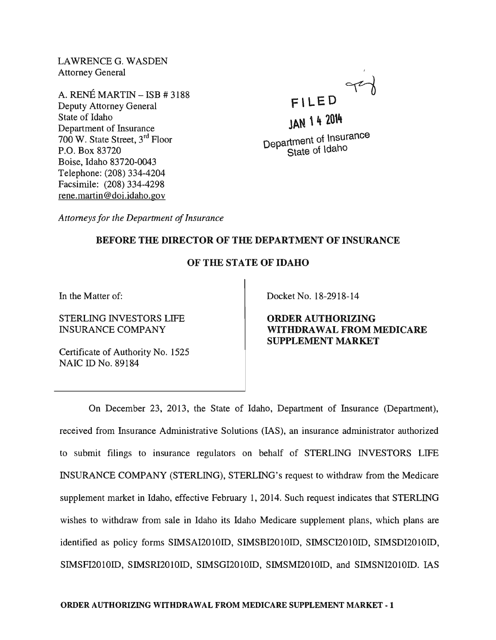LAWRENCE G. WASDEN Attorney General

A. RENÉ MARTIN  $-$  ISB  $\#$  3188 Deputy Attorney General State of Idaho Department of Insurance 700 W. State Street, 3rd Floor P.O. Box 83720 Boise, Idaho 83720-0043 Telephone: (208) 334-4204 Facsimile: (208) 334-4298 rene.martin@doi.idaho.gov

FILED <sup>of</sup>

JAN 14 2014 Department of Insurance State of Idaho

*Attorneys for the Department of Insurance* 

## BEFORE THE DIRECTOR OF THE DEPARTMENT OF INSURANCE

### OF THE STATE OF IDAHO

In the Matter of:

STERLING INVESTORS LIFE INSURANCE COMPANY

Certificate of Authority No. 1525 NAIC ID No. 89184

Docket No. 18-2918-14

ORDER AUTHORIZING WITHDRAWAL FROM MEDICARE SUPPLEMENT MARKET

On December 23, 2013, the State of Idaho, Department of Insurance (Department), received from Insurance Administrative Solutions (lAS), an insurance administrator authorized to submit filings to insurance regulators on behalf of STERLING INVESTORS LIFE INSURANCE COMPANY (STERLING), STERLING's request to withdraw from the Medicare supplement market in Idaho, effective February 1, 2014. Such request indicates that STERLING wishes to withdraw from sale in Idaho its Idaho Medicare supplement plans, which plans are identified as policy forms SIMSAI2010ID, SIMSBI2010ID, SIMSCI2010ID, SIMSDI2010ID, SIMSFI2010ID, SIMSRI2010ID, SIMSGI201OID, SIMSMI201OID, and SIMSNI201OID. lAS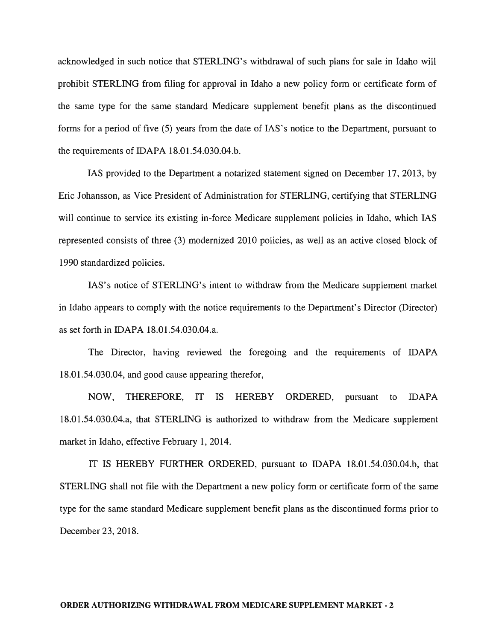acknowledged in such notice that STERLING's withdrawal of such plans for sale in Idaho will prohibit STERLING from filing for approval in Idaho a new policy form or certificate form of the same type for the same standard Medicare supplement benefit plans as the discontinued forms for a period of five (5) years from the date of lAS's notice to the Department, pursuant to the requirements of IDAPA 18.01.54.030.04.b.

lAS provided to the Department a notarized statement signed on December 17,2013, by Eric Johansson, as Vice President of Administration for STERLING, certifying that STERLING will continue to service its existing in-force Medicare supplement policies in Idaho, which IAS represented consists of three (3) modernized 2010 policies, as well as an active closed block of 1990 standardized policies.

lAS's notice of STERLING's intent to withdraw from the Medicare supplement market in Idaho appears to comply with the notice requirements to the Department's Director (Director) as set forth in IDAPA 18.01.54.030.04.a.

The Director, having reviewed the foregoing and the requirements of IDAPA 18.01.54.030.04, and good cause appearing therefor,

NOW, THEREFORE, IT IS HEREBY ORDERED, pursuant to IDAPA 18.01.54.030.04.a, that STERLING is authorized to withdraw from the Medicare supplement market in Idaho, effective February 1, 2014.

IT IS HEREBY FURTHER ORDERED, pursuant to IDAPA 18.01.54.030.04.b, that STERLING shall not file with the Department a new policy form or certificate form of the same type for the same standard Medicare supplement benefit plans as the discontinued forms prior to December 23,2018.

### **ORDER AUTHORIZING WITHDRAWAL FROM MEDICARE SUPPLEMENT MARKET - 2**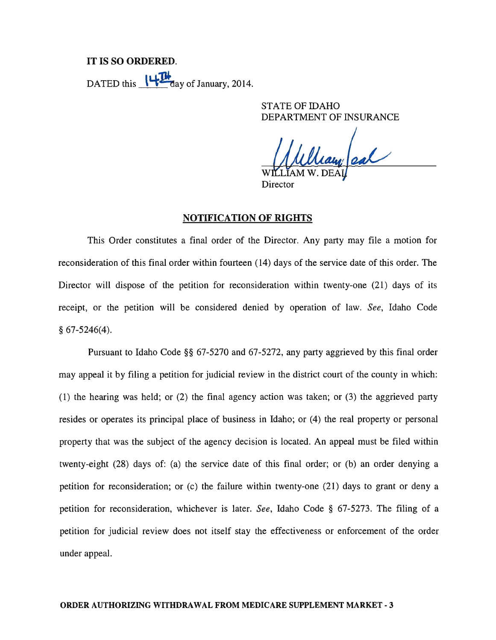# IT IS SO ORDERED. DATED this  $\frac{1+14}{1}$  day of January, 2014.

STATE OF IDAHO DEPARTMENT OF INSURANCE

leary eal

Director

### NOTIFICATION OF RIGHTS

This Order constitutes a final order of the Director. Any party may file a motion for reconsideration of this final order within fourteen (14) days of the service date of this order. The Director will dispose of the petition for reconsideration within twenty-one (21) days of its receipt, or the petition will be considered denied by operation of law. *See,* Idaho Code § 67-5246(4).

Pursuant to Idaho Code §§ 67-5270 and 67-5272, any party aggrieved by this final order may appeal it by filing a petition for judicial review in the district court of the county in which: (1) the hearing was held; or (2) the final agency action was taken; or (3) the aggrieved party resides or operates its principal place of business in Idaho; or (4) the real property or personal property that was the subject of the agency decision is located. An appeal must be filed within twenty-eight (28) days of: (a) the service date of this final order; or (b) an order denying a petition for reconsideration; or (c) the failure within twenty-one (21) days to grant or deny a petition for reconsideration, whichever is later. *See,* Idaho Code § 67-5273. The filing of a petition for judicial review does not itself stay the effectiveness or enforcement of the order under appeal.

#### ORDER AUTHORIZING WITHDRAWAL FROM MEDICARE SUPPLEMENT MARKET - 3